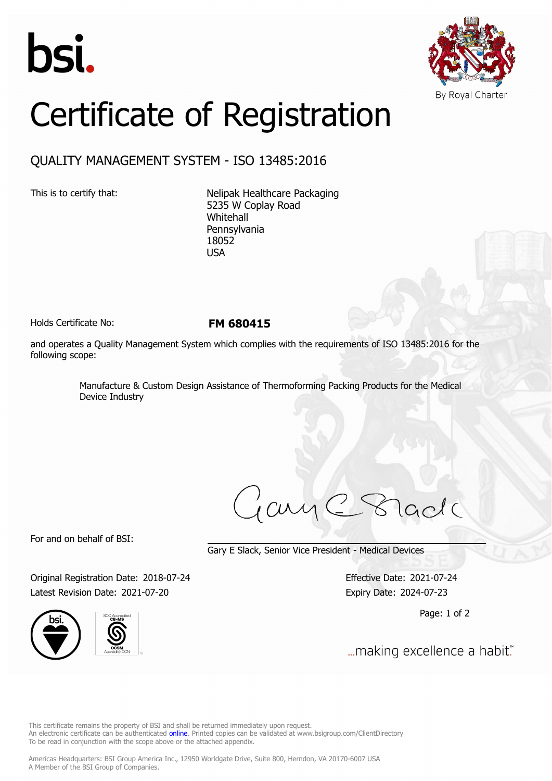



## Certificate of Registration

## QUALITY MANAGEMENT SYSTEM - ISO 13485:2016

This is to certify that: Nelipak Healthcare Packaging 5235 W Coplay Road Whitehall Pennsylvania 18052 USA

Holds Certificate No: **FM 680415**

and operates a Quality Management System which complies with the requirements of ISO 13485:2016 for the following scope:

> Manufacture & Custom Design Assistance of Thermoforming Packing Products for the Medical Device Industry

ay

For and on behalf of BSI:

Gary E Slack, Senior Vice President - Medical Devices

Original Registration Date: 2018-07-24 Effective Date: 2021-07-24 Latest Revision Date: 2021-07-20 Expiry Date: 2024-07-23





Page: 1 of 2

... making excellence a habit."

This certificate remains the property of BSI and shall be returned immediately upon request. An electronic certificate can be authenticated *[online](https://pgplus.bsigroup.com/CertificateValidation/CertificateValidator.aspx?CertificateNumber=FM+680415&ReIssueDate=20%2f07%2f2021&Template=inc)*. Printed copies can be validated at www.bsigroup.com/ClientDirectory To be read in conjunction with the scope above or the attached appendix.

Americas Headquarters: BSI Group America Inc., 12950 Worldgate Drive, Suite 800, Herndon, VA 20170-6007 USA A Member of the BSI Group of Companies.